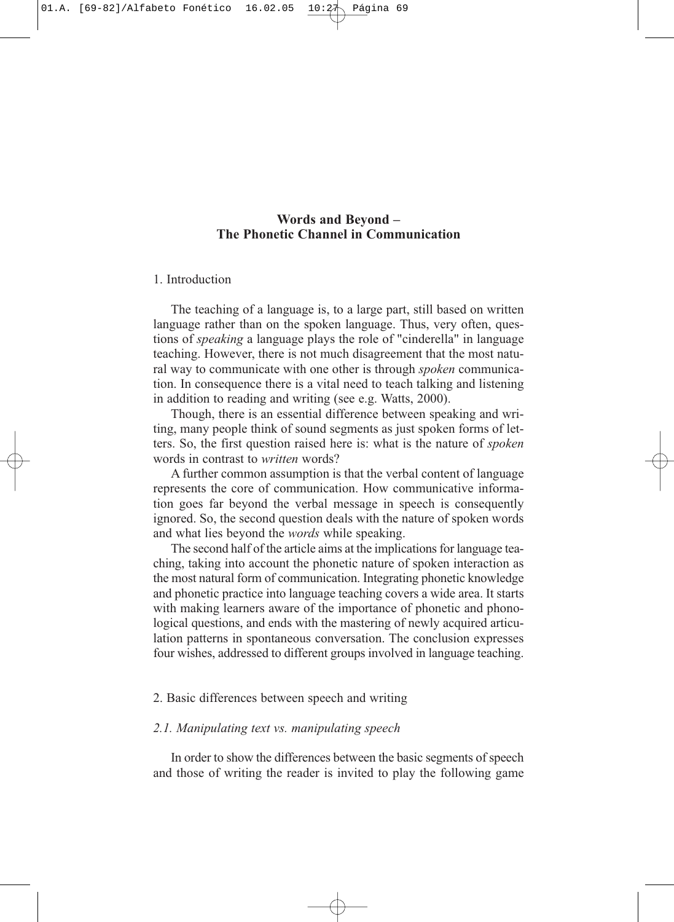# **Words and Beyond – The Phonetic Channel in Communication**

## 1. Introduction

The teaching of a language is, to a large part, still based on written language rather than on the spoken language. Thus, very often, questions of *speaking* a language plays the role of "cinderella" in language teaching. However, there is not much disagreement that the most natural way to communicate with one other is through *spoken* communication. In consequence there is a vital need to teach talking and listening in addition to reading and writing (see e.g. Watts, 2000).

Though, there is an essential difference between speaking and writing, many people think of sound segments as just spoken forms of letters. So, the first question raised here is: what is the nature of *spoken* words in contrast to *written* words?

A further common assumption is that the verbal content of language represents the core of communication. How communicative information goes far beyond the verbal message in speech is consequently ignored. So, the second question deals with the nature of spoken words and what lies beyond the *words* while speaking.

The second half of the article aims at the implications for language teaching, taking into account the phonetic nature of spoken interaction as the most natural form of communication. Integrating phonetic knowledge and phonetic practice into language teaching covers a wide area. It starts with making learners aware of the importance of phonetic and phonological questions, and ends with the mastering of newly acquired articulation patterns in spontaneous conversation. The conclusion expresses four wishes, addressed to different groups involved in language teaching.

## 2. Basic differences between speech and writing

## *2.1. Manipulating text vs. manipulating speech*

In order to show the differences between the basic segments of speech and those of writing the reader is invited to play the following game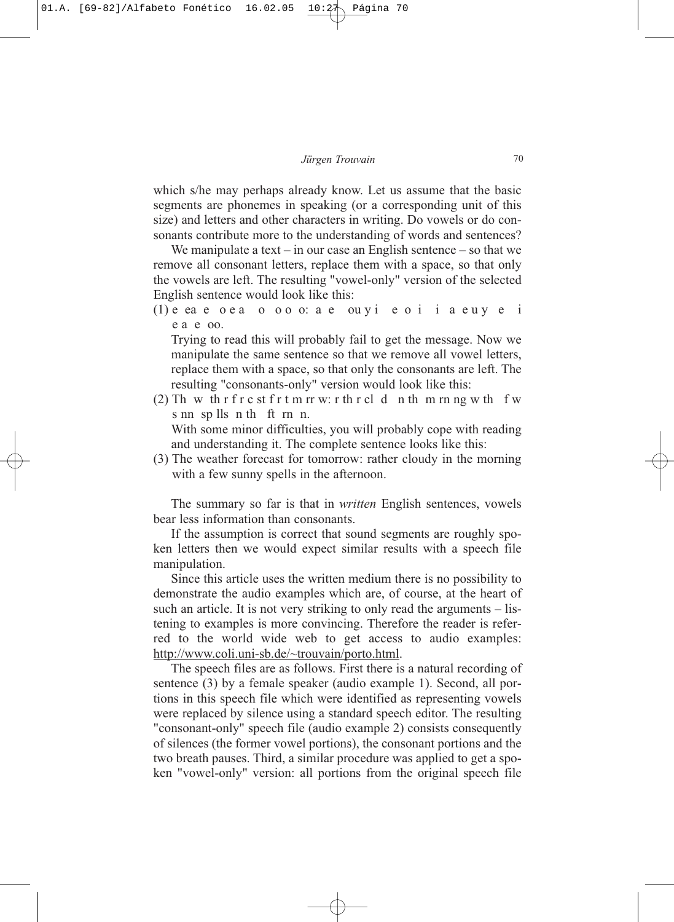which s/he may perhaps already know. Let us assume that the basic segments are phonemes in speaking (or a corresponding unit of this size) and letters and other characters in writing. Do vowels or do consonants contribute more to the understanding of words and sentences?

We manipulate a text – in our case an English sentence – so that we remove all consonant letters, replace them with a space, so that only the vowels are left. The resulting "vowel-only" version of the selected English sentence would look like this:

 $(1)$  e ea e o e a o o o o  $\circ$  a e ou v i e o i i a e u  $\nu$  e i e a e oo.

Trying to read this will probably fail to get the message. Now we manipulate the same sentence so that we remove all vowel letters, replace them with a space, so that only the consonants are left. The resulting "consonants-only" version would look like this:

(2) Th w th r f r c st f r t m rr w: r th r cl d n th m rn ng w th f w s nn sp lls n th ft rn n. With some minor difficulties, you will probably cope with reading

and understanding it. The complete sentence looks like this:

(3) The weather forecast for tomorrow: rather cloudy in the morning with a few sunny spells in the afternoon.

The summary so far is that in *written* English sentences, vowels bear less information than consonants.

If the assumption is correct that sound segments are roughly spoken letters then we would expect similar results with a speech file manipulation.

Since this article uses the written medium there is no possibility to demonstrate the audio examples which are, of course, at the heart of such an article. It is not very striking to only read the arguments – listening to examples is more convincing. Therefore the reader is referred to the world wide web to get access to audio examples: http://www.coli.uni-sb.de/~trouvain/porto.html.

The speech files are as follows. First there is a natural recording of sentence (3) by a female speaker (audio example 1). Second, all portions in this speech file which were identified as representing vowels were replaced by silence using a standard speech editor. The resulting "consonant-only" speech file (audio example 2) consists consequently of silences (the former vowel portions), the consonant portions and the two breath pauses. Third, a similar procedure was applied to get a spoken "vowel-only" version: all portions from the original speech file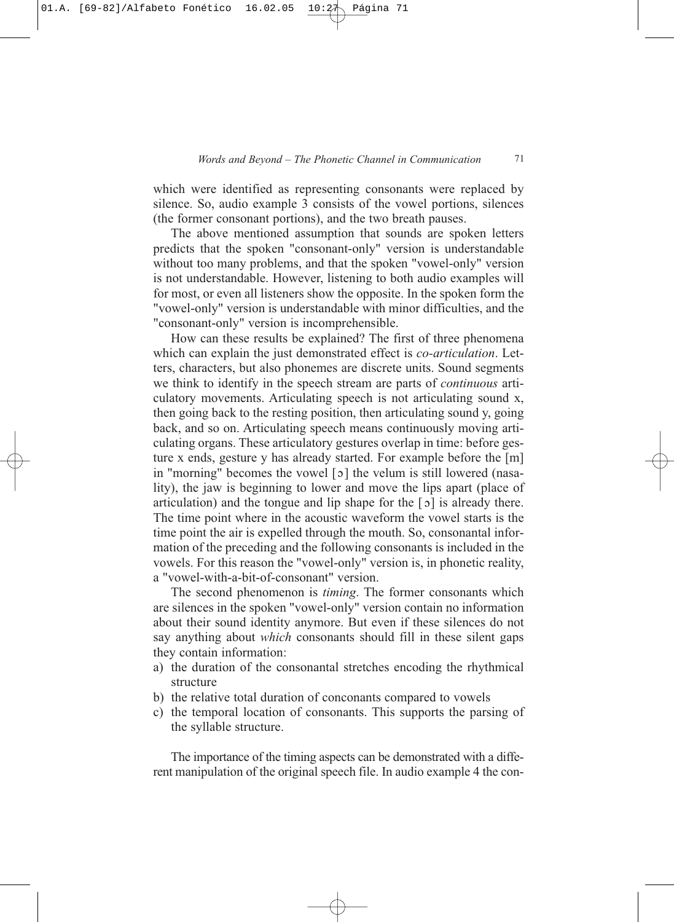which were identified as representing consonants were replaced by silence. So, audio example 3 consists of the vowel portions, silences (the former consonant portions), and the two breath pauses.

The above mentioned assumption that sounds are spoken letters predicts that the spoken "consonant-only" version is understandable without too many problems, and that the spoken "vowel-only" version is not understandable. However, listening to both audio examples will for most, or even all listeners show the opposite. In the spoken form the "vowel-only" version is understandable with minor difficulties, and the "consonant-only" version is incomprehensible.

How can these results be explained? The first of three phenomena which can explain the just demonstrated effect is *co-articulation*. Letters, characters, but also phonemes are discrete units. Sound segments we think to identify in the speech stream are parts of *continuous* articulatory movements. Articulating speech is not articulating sound x, then going back to the resting position, then articulating sound y, going back, and so on. Articulating speech means continuously moving articulating organs. These articulatory gestures overlap in time: before gesture x ends, gesture y has already started. For example before the [m] in "morning" becomes the vowel [5] the velum is still lowered (nasality), the jaw is beginning to lower and move the lips apart (place of articulation) and the tongue and lip shape for the  $\lceil 2 \rceil$  is already there. The time point where in the acoustic waveform the vowel starts is the time point the air is expelled through the mouth. So, consonantal information of the preceding and the following consonants is included in the vowels. For this reason the "vowel-only" version is, in phonetic reality, a "vowel-with-a-bit-of-consonant" version.

The second phenomenon is *timing*. The former consonants which are silences in the spoken "vowel-only" version contain no information about their sound identity anymore. But even if these silences do not say anything about *which* consonants should fill in these silent gaps they contain information:

- a) the duration of the consonantal stretches encoding the rhythmical structure
- b) the relative total duration of conconants compared to vowels
- c) the temporal location of consonants. This supports the parsing of the syllable structure.

The importance of the timing aspects can be demonstrated with a different manipulation of the original speech file. In audio example 4 the con-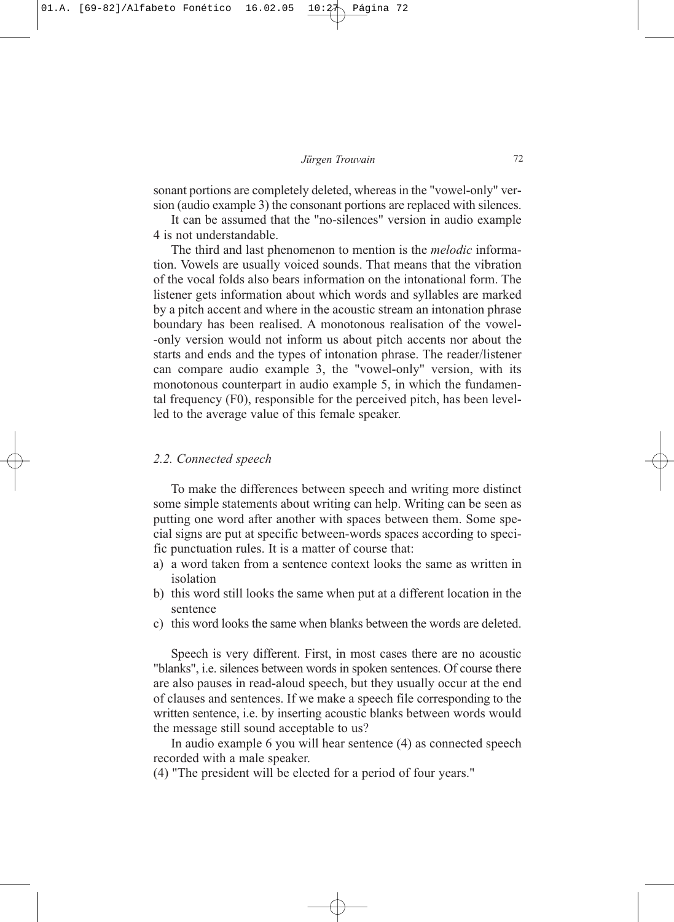sonant portions are completely deleted, whereas in the "vowel-only" version (audio example 3) the consonant portions are replaced with silences.

It can be assumed that the "no-silences" version in audio example 4 is not understandable.

The third and last phenomenon to mention is the *melodic* information. Vowels are usually voiced sounds. That means that the vibration of the vocal folds also bears information on the intonational form. The listener gets information about which words and syllables are marked by a pitch accent and where in the acoustic stream an intonation phrase boundary has been realised. A monotonous realisation of the vowel- -only version would not inform us about pitch accents nor about the starts and ends and the types of intonation phrase. The reader/listener can compare audio example 3, the "vowel-only" version, with its monotonous counterpart in audio example 5, in which the fundamental frequency (F0), responsible for the perceived pitch, has been levelled to the average value of this female speaker.

## *2.2. Connected speech*

To make the differences between speech and writing more distinct some simple statements about writing can help. Writing can be seen as putting one word after another with spaces between them. Some special signs are put at specific between-words spaces according to specific punctuation rules. It is a matter of course that:

- a) a word taken from a sentence context looks the same as written in isolation
- b) this word still looks the same when put at a different location in the sentence
- c) this word looks the same when blanks between the words are deleted.

Speech is very different. First, in most cases there are no acoustic "blanks", i.e. silences between words in spoken sentences. Of course there are also pauses in read-aloud speech, but they usually occur at the end of clauses and sentences. If we make a speech file corresponding to the written sentence, i.e. by inserting acoustic blanks between words would the message still sound acceptable to us?

In audio example 6 you will hear sentence (4) as connected speech recorded with a male speaker.

(4) "The president will be elected for a period of four years."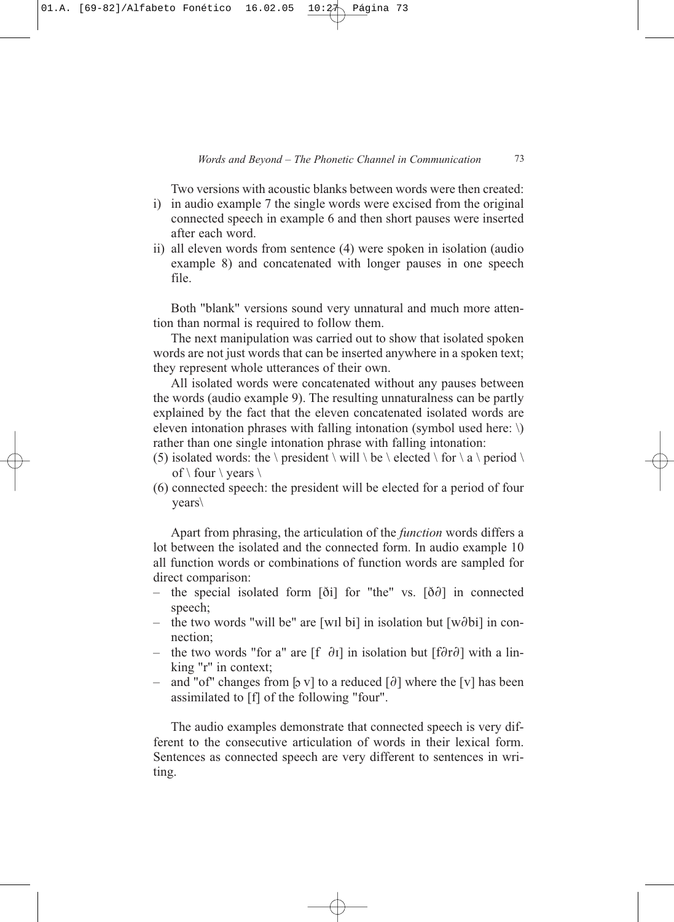Two versions with acoustic blanks between words were then created:

- i) in audio example 7 the single words were excised from the original connected speech in example 6 and then short pauses were inserted after each word.
- ii) all eleven words from sentence (4) were spoken in isolation (audio example 8) and concatenated with longer pauses in one speech file.

Both "blank" versions sound very unnatural and much more attention than normal is required to follow them.

The next manipulation was carried out to show that isolated spoken words are not just words that can be inserted anywhere in a spoken text; they represent whole utterances of their own.

All isolated words were concatenated without any pauses between the words (audio example 9). The resulting unnaturalness can be partly explained by the fact that the eleven concatenated isolated words are eleven intonation phrases with falling intonation (symbol used here: \) rather than one single intonation phrase with falling intonation:

- (5) isolated words: the \ president \ will \ be \ elected \ for \ a \ period \ of  $\setminus$  four  $\setminus$  years  $\setminus$
- (6) connected speech: the president will be elected for a period of four years\

Apart from phrasing, the articulation of the *function* words differs a lot between the isolated and the connected form. In audio example 10 all function words or combinations of function words are sampled for direct comparison:

- the special isolated form  $\delta$ i for "the" vs.  $\delta$  $\delta$  in connected speech;
- the two words "will be" are [wil bi] in isolation but  $[w\partial b\mathbf{i}]$  in connection;
- the two words "for a" are  $[f \partial I]$  in isolation but  $[f \partial I]$  with a linking "r" in context;
- and "of" changes from [b v] to a reduced  $\lceil \partial \rceil$  where the [v] has been assimilated to [f] of the following "four".

The audio examples demonstrate that connected speech is very different to the consecutive articulation of words in their lexical form. Sentences as connected speech are very different to sentences in writing.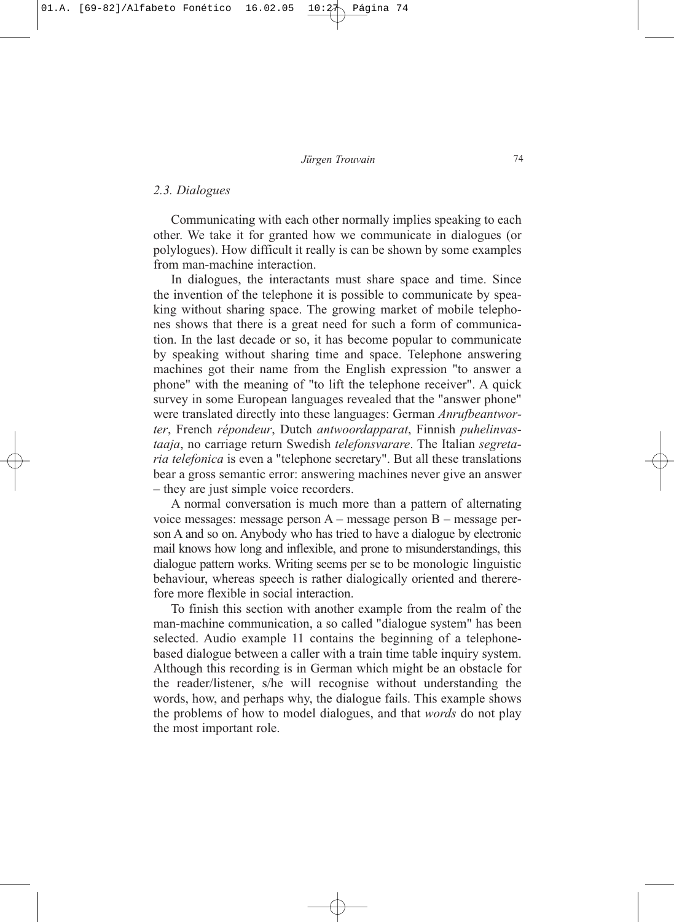### *2.3. Dialogues*

Communicating with each other normally implies speaking to each other. We take it for granted how we communicate in dialogues (or polylogues). How difficult it really is can be shown by some examples from man-machine interaction.

In dialogues, the interactants must share space and time. Since the invention of the telephone it is possible to communicate by speaking without sharing space. The growing market of mobile telephones shows that there is a great need for such a form of communication. In the last decade or so, it has become popular to communicate by speaking without sharing time and space. Telephone answering machines got their name from the English expression "to answer a phone" with the meaning of "to lift the telephone receiver". A quick survey in some European languages revealed that the "answer phone" were translated directly into these languages: German *Anrufbeantworter*, French *répondeur*, Dutch *antwoordapparat*, Finnish *puhelinvastaaja*, no carriage return Swedish *telefonsvarare*. The Italian *segretaria telefonica* is even a "telephone secretary". But all these translations bear a gross semantic error: answering machines never give an answer – they are just simple voice recorders.

A normal conversation is much more than a pattern of alternating voice messages: message person A – message person B – message person A and so on. Anybody who has tried to have a dialogue by electronic mail knows how long and inflexible, and prone to misunderstandings, this dialogue pattern works. Writing seems per se to be monologic linguistic behaviour, whereas speech is rather dialogically oriented and thererefore more flexible in social interaction.

To finish this section with another example from the realm of the man-machine communication, a so called "dialogue system" has been selected. Audio example 11 contains the beginning of a telephonebased dialogue between a caller with a train time table inquiry system. Although this recording is in German which might be an obstacle for the reader/listener, s/he will recognise without understanding the words, how, and perhaps why, the dialogue fails. This example shows the problems of how to model dialogues, and that *words* do not play the most important role.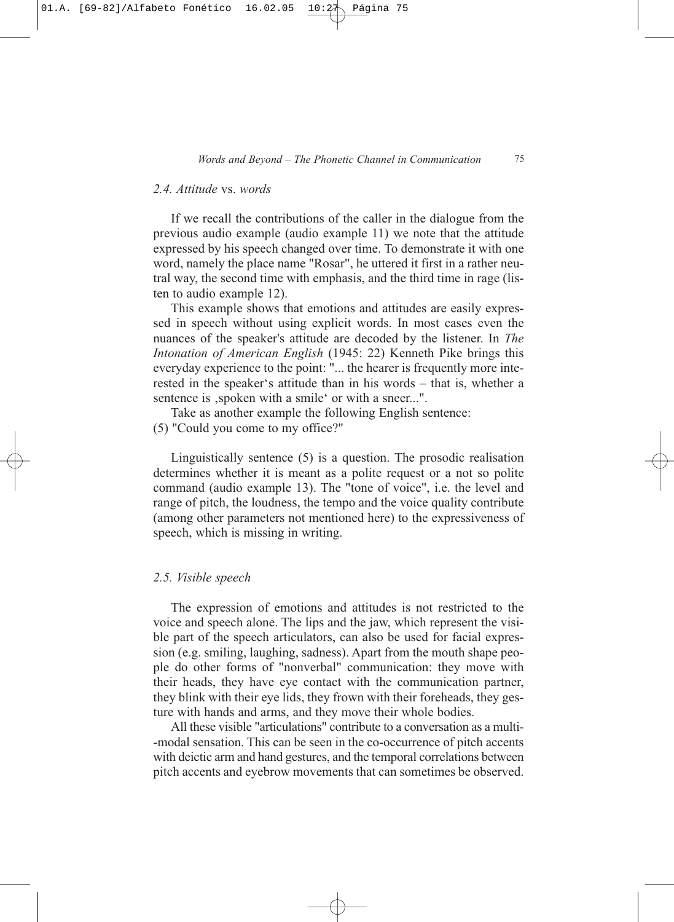## *2.4. Attitude* vs. *words*

If we recall the contributions of the caller in the dialogue from the previous audio example (audio example 11) we note that the attitude expressed by his speech changed over time. To demonstrate it with one word, namely the place name "Rosar", he uttered it first in a rather neutral way, the second time with emphasis, and the third time in rage (listen to audio example 12).

This example shows that emotions and attitudes are easily expressed in speech without using explicit words. In most cases even the nuances of the speaker's attitude are decoded by the listener. In *The Intonation of American English* (1945: 22) Kenneth Pike brings this everyday experience to the point: "... the hearer is frequently more interested in the speaker's attitude than in his words – that is, whether a sentence is , spoken with a smile' or with a sneer...".

Take as another example the following English sentence: (5) "Could you come to my office?"

Linguistically sentence (5) is a question. The prosodic realisation determines whether it is meant as a polite request or a not so polite command (audio example 13). The "tone of voice", i.e. the level and range of pitch, the loudness, the tempo and the voice quality contribute (among other parameters not mentioned here) to the expressiveness of speech, which is missing in writing.

#### *2.5. Visible speech*

The expression of emotions and attitudes is not restricted to the voice and speech alone. The lips and the jaw, which represent the visible part of the speech articulators, can also be used for facial expression (e.g. smiling, laughing, sadness). Apart from the mouth shape people do other forms of "nonverbal" communication: they move with their heads, they have eye contact with the communication partner, they blink with their eye lids, they frown with their foreheads, they gesture with hands and arms, and they move their whole bodies.

All these visible "articulations" contribute to a conversation as a multi- -modal sensation. This can be seen in the co-occurrence of pitch accents with deictic arm and hand gestures, and the temporal correlations between pitch accents and eyebrow movements that can sometimes be observed.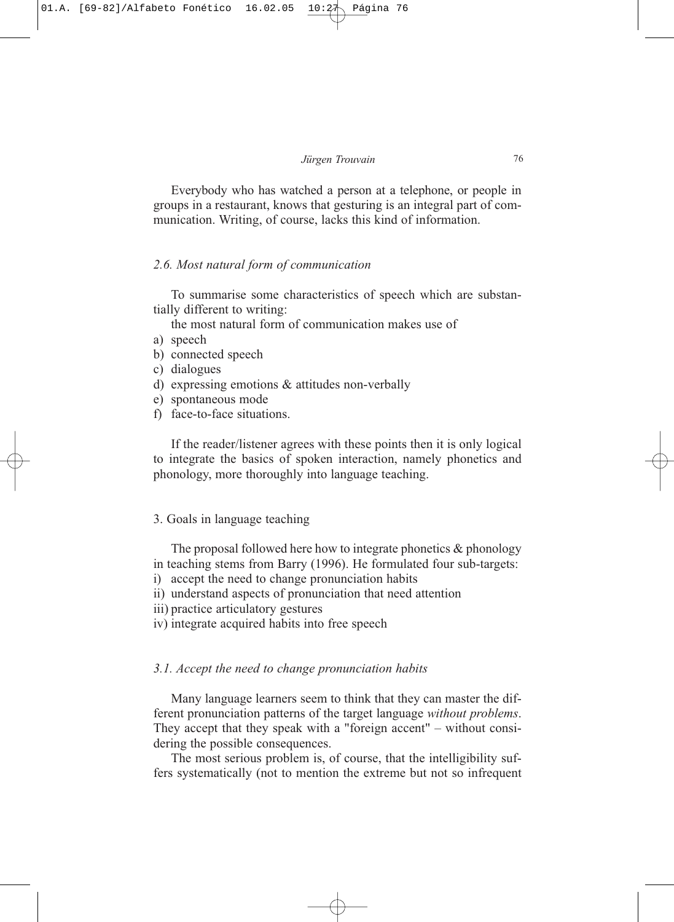Everybody who has watched a person at a telephone, or people in groups in a restaurant, knows that gesturing is an integral part of communication. Writing, of course, lacks this kind of information.

### *2.6. Most natural form of communication*

To summarise some characteristics of speech which are substantially different to writing:

the most natural form of communication makes use of

- a) speech
- b) connected speech
- c) dialogues
- d) expressing emotions & attitudes non-verbally
- e) spontaneous mode
- f) face-to-face situations.

If the reader/listener agrees with these points then it is only logical to integrate the basics of spoken interaction, namely phonetics and phonology, more thoroughly into language teaching.

## 3. Goals in language teaching

The proposal followed here how to integrate phonetics  $\&$  phonology in teaching stems from Barry (1996). He formulated four sub-targets:

- i) accept the need to change pronunciation habits
- ii) understand aspects of pronunciation that need attention
- iii) practice articulatory gestures
- iv) integrate acquired habits into free speech

## *3.1. Accept the need to change pronunciation habits*

Many language learners seem to think that they can master the different pronunciation patterns of the target language *without problems*. They accept that they speak with a "foreign accent" – without considering the possible consequences.

The most serious problem is, of course, that the intelligibility suffers systematically (not to mention the extreme but not so infrequent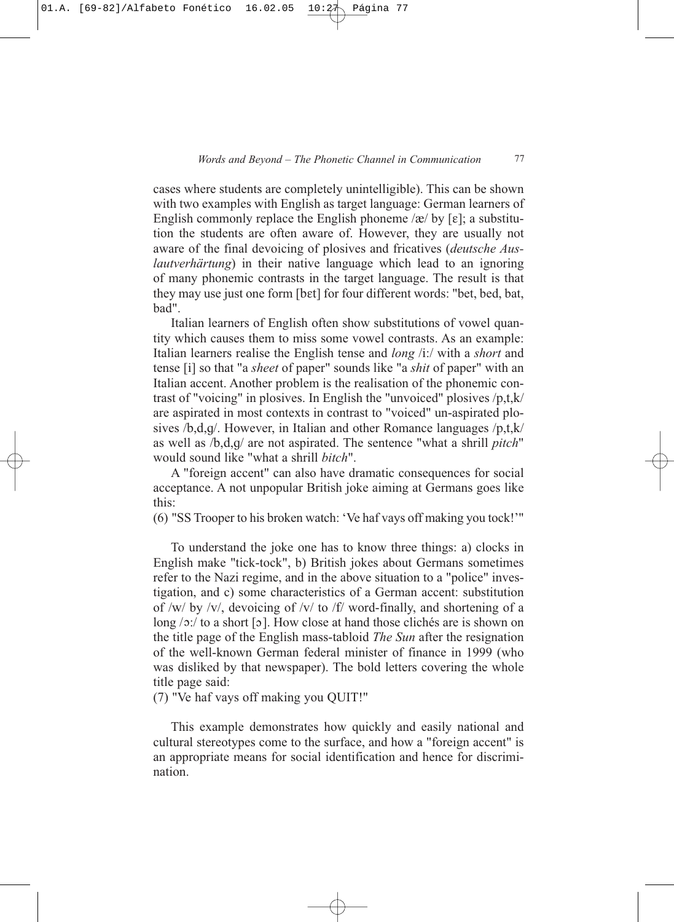cases where students are completely unintelligible). This can be shown with two examples with English as target language: German learners of English commonly replace the English phoneme / $\alpha$ / by [ε]; a substitution the students are often aware of. However, they are usually not aware of the final devoicing of plosives and fricatives (*deutsche Auslautverhärtung*) in their native language which lead to an ignoring of many phonemic contrasts in the target language. The result is that they may use just one form [bEt] for four different words: "bet, bed, bat, bad".

Italian learners of English often show substitutions of vowel quantity which causes them to miss some vowel contrasts. As an example: Italian learners realise the English tense and *long* /i:/ with a *short* and tense [i] so that "a *sheet* of paper" sounds like "a *shit* of paper" with an Italian accent. Another problem is the realisation of the phonemic contrast of "voicing" in plosives. In English the "unvoiced" plosives /p,t,k/ are aspirated in most contexts in contrast to "voiced" un-aspirated plosives /b,d,g/. However, in Italian and other Romance languages /p,t,k/ as well as /b,d,g/ are not aspirated. The sentence "what a shrill *pitch*" would sound like "what a shrill *bitch*".

A "foreign accent" can also have dramatic consequences for social acceptance. A not unpopular British joke aiming at Germans goes like this:

(6) "SS Trooper to his broken watch: 'Ve haf vays off making you tock!'"

To understand the joke one has to know three things: a) clocks in English make "tick-tock", b) British jokes about Germans sometimes refer to the Nazi regime, and in the above situation to a "police" investigation, and c) some characteristics of a German accent: substitution of /w/ by /v/, devoicing of /v/ to /f/ word-finally, and shortening of a long  $\sqrt{2}$ : to a short [2]. How close at hand those clichés are is shown on the title page of the English mass-tabloid *The Sun* after the resignation of the well-known German federal minister of finance in 1999 (who was disliked by that newspaper). The bold letters covering the whole title page said:

(7) "Ve haf vays off making you QUIT!"

This example demonstrates how quickly and easily national and cultural stereotypes come to the surface, and how a "foreign accent" is an appropriate means for social identification and hence for discrimination.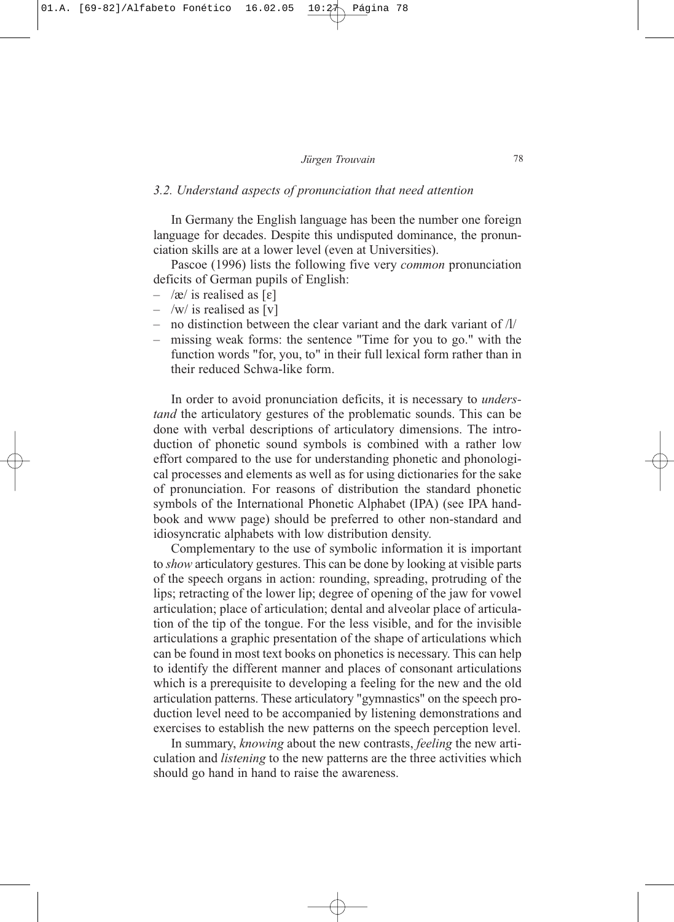#### *3.2. Understand aspects of pronunciation that need attention*

In Germany the English language has been the number one foreign language for decades. Despite this undisputed dominance, the pronunciation skills are at a lower level (even at Universities).

Pascoe (1996) lists the following five very *common* pronunciation deficits of German pupils of English:

- $-$  /æ/ is realised as [ $\epsilon$ ]
- $-$  /w/ is realised as [v]
- no distinction between the clear variant and the dark variant of  $\frac{1}{l}$
- missing weak forms: the sentence "Time for you to go." with the function words "for, you, to" in their full lexical form rather than in their reduced Schwa-like form.

In order to avoid pronunciation deficits, it is necessary to *understand* the articulatory gestures of the problematic sounds. This can be done with verbal descriptions of articulatory dimensions. The introduction of phonetic sound symbols is combined with a rather low effort compared to the use for understanding phonetic and phonological processes and elements as well as for using dictionaries for the sake of pronunciation. For reasons of distribution the standard phonetic symbols of the International Phonetic Alphabet (IPA) (see IPA handbook and www page) should be preferred to other non-standard and idiosyncratic alphabets with low distribution density.

Complementary to the use of symbolic information it is important to *show* articulatory gestures. This can be done by looking at visible parts of the speech organs in action: rounding, spreading, protruding of the lips; retracting of the lower lip; degree of opening of the jaw for vowel articulation; place of articulation; dental and alveolar place of articulation of the tip of the tongue. For the less visible, and for the invisible articulations a graphic presentation of the shape of articulations which can be found in most text books on phonetics is necessary. This can help to identify the different manner and places of consonant articulations which is a prerequisite to developing a feeling for the new and the old articulation patterns. These articulatory "gymnastics" on the speech production level need to be accompanied by listening demonstrations and exercises to establish the new patterns on the speech perception level.

In summary, *knowing* about the new contrasts, *feeling* the new articulation and *listening* to the new patterns are the three activities which should go hand in hand to raise the awareness.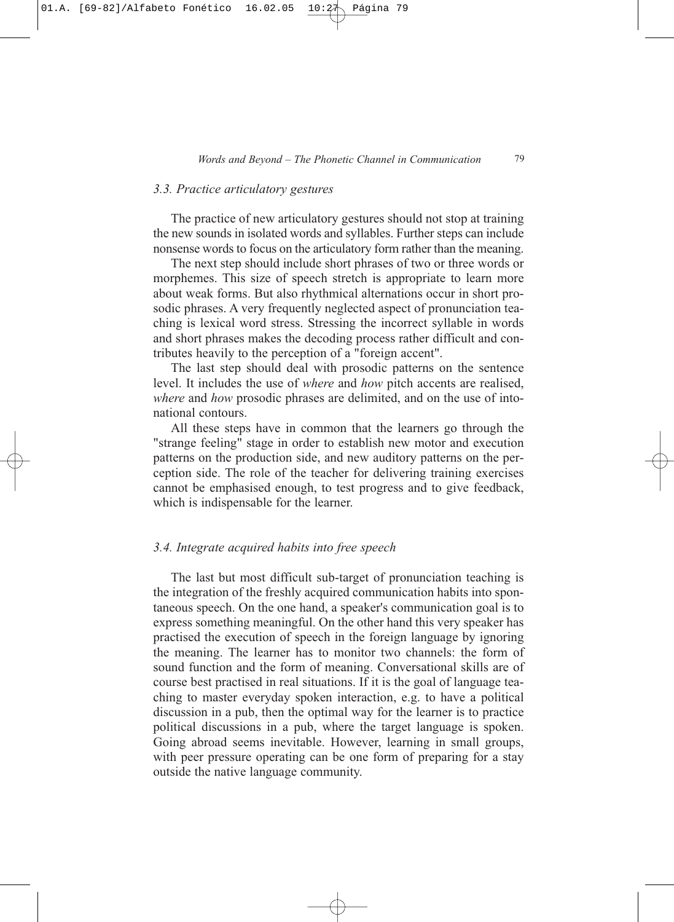## *3.3. Practice articulatory gestures*

The practice of new articulatory gestures should not stop at training the new sounds in isolated words and syllables. Further steps can include nonsense words to focus on the articulatory form rather than the meaning.

The next step should include short phrases of two or three words or morphemes. This size of speech stretch is appropriate to learn more about weak forms. But also rhythmical alternations occur in short prosodic phrases. A very frequently neglected aspect of pronunciation teaching is lexical word stress. Stressing the incorrect syllable in words and short phrases makes the decoding process rather difficult and contributes heavily to the perception of a "foreign accent".

The last step should deal with prosodic patterns on the sentence level. It includes the use of *where* and *how* pitch accents are realised, *where* and *how* prosodic phrases are delimited, and on the use of intonational contours.

All these steps have in common that the learners go through the "strange feeling" stage in order to establish new motor and execution patterns on the production side, and new auditory patterns on the perception side. The role of the teacher for delivering training exercises cannot be emphasised enough, to test progress and to give feedback, which is indispensable for the learner.

## *3.4. Integrate acquired habits into free speech*

The last but most difficult sub-target of pronunciation teaching is the integration of the freshly acquired communication habits into spontaneous speech. On the one hand, a speaker's communication goal is to express something meaningful. On the other hand this very speaker has practised the execution of speech in the foreign language by ignoring the meaning. The learner has to monitor two channels: the form of sound function and the form of meaning. Conversational skills are of course best practised in real situations. If it is the goal of language teaching to master everyday spoken interaction, e.g. to have a political discussion in a pub, then the optimal way for the learner is to practice political discussions in a pub, where the target language is spoken. Going abroad seems inevitable. However, learning in small groups, with peer pressure operating can be one form of preparing for a stay outside the native language community.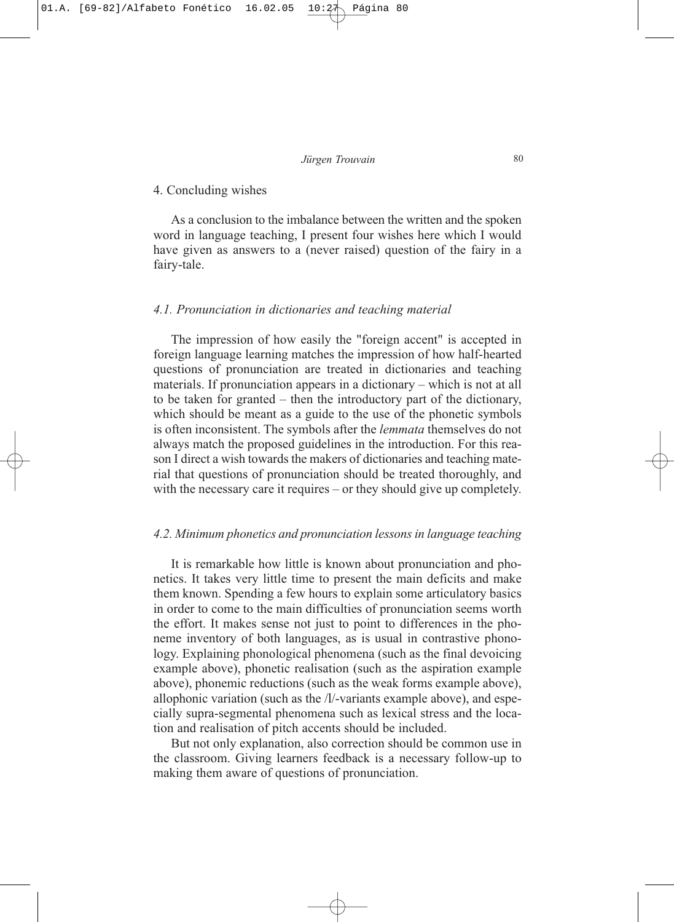### 4. Concluding wishes

As a conclusion to the imbalance between the written and the spoken word in language teaching, I present four wishes here which I would have given as answers to a (never raised) question of the fairy in a fairy-tale.

#### *4.1. Pronunciation in dictionaries and teaching material*

The impression of how easily the "foreign accent" is accepted in foreign language learning matches the impression of how half-hearted questions of pronunciation are treated in dictionaries and teaching materials. If pronunciation appears in a dictionary – which is not at all to be taken for granted – then the introductory part of the dictionary, which should be meant as a guide to the use of the phonetic symbols is often inconsistent. The symbols after the *lemmata* themselves do not always match the proposed guidelines in the introduction. For this reason I direct a wish towards the makers of dictionaries and teaching material that questions of pronunciation should be treated thoroughly, and with the necessary care it requires – or they should give up completely.

### *4.2. Minimum phonetics and pronunciation lessons in language teaching*

It is remarkable how little is known about pronunciation and phonetics. It takes very little time to present the main deficits and make them known. Spending a few hours to explain some articulatory basics in order to come to the main difficulties of pronunciation seems worth the effort. It makes sense not just to point to differences in the phoneme inventory of both languages, as is usual in contrastive phonology. Explaining phonological phenomena (such as the final devoicing example above), phonetic realisation (such as the aspiration example above), phonemic reductions (such as the weak forms example above), allophonic variation (such as the /l/-variants example above), and especially supra-segmental phenomena such as lexical stress and the location and realisation of pitch accents should be included.

But not only explanation, also correction should be common use in the classroom. Giving learners feedback is a necessary follow-up to making them aware of questions of pronunciation.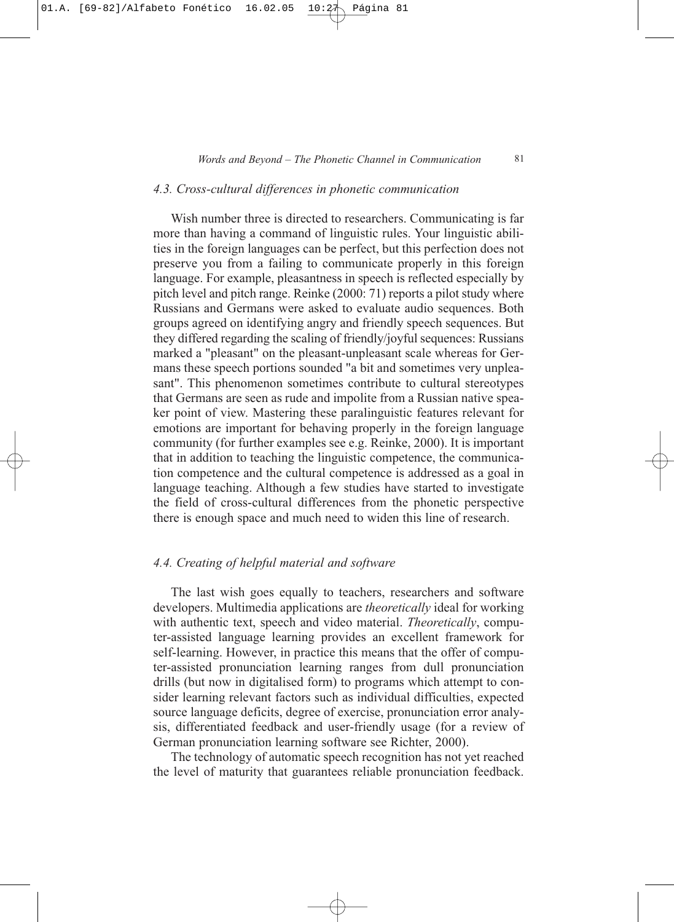#### *4.3. Cross-cultural differences in phonetic communication*

Wish number three is directed to researchers. Communicating is far more than having a command of linguistic rules. Your linguistic abilities in the foreign languages can be perfect, but this perfection does not preserve you from a failing to communicate properly in this foreign language. For example, pleasantness in speech is reflected especially by pitch level and pitch range. Reinke (2000: 71) reports a pilot study where Russians and Germans were asked to evaluate audio sequences. Both groups agreed on identifying angry and friendly speech sequences. But they differed regarding the scaling of friendly/joyful sequences: Russians marked a "pleasant" on the pleasant-unpleasant scale whereas for Germans these speech portions sounded "a bit and sometimes very unpleasant". This phenomenon sometimes contribute to cultural stereotypes that Germans are seen as rude and impolite from a Russian native speaker point of view. Mastering these paralinguistic features relevant for emotions are important for behaving properly in the foreign language community (for further examples see e.g. Reinke, 2000). It is important that in addition to teaching the linguistic competence, the communication competence and the cultural competence is addressed as a goal in language teaching. Although a few studies have started to investigate the field of cross-cultural differences from the phonetic perspective there is enough space and much need to widen this line of research.

## *4.4. Creating of helpful material and software*

The last wish goes equally to teachers, researchers and software developers. Multimedia applications are *theoretically* ideal for working with authentic text, speech and video material. *Theoretically*, computer-assisted language learning provides an excellent framework for self-learning. However, in practice this means that the offer of computer-assisted pronunciation learning ranges from dull pronunciation drills (but now in digitalised form) to programs which attempt to consider learning relevant factors such as individual difficulties, expected source language deficits, degree of exercise, pronunciation error analysis, differentiated feedback and user-friendly usage (for a review of German pronunciation learning software see Richter, 2000).

The technology of automatic speech recognition has not yet reached the level of maturity that guarantees reliable pronunciation feedback.